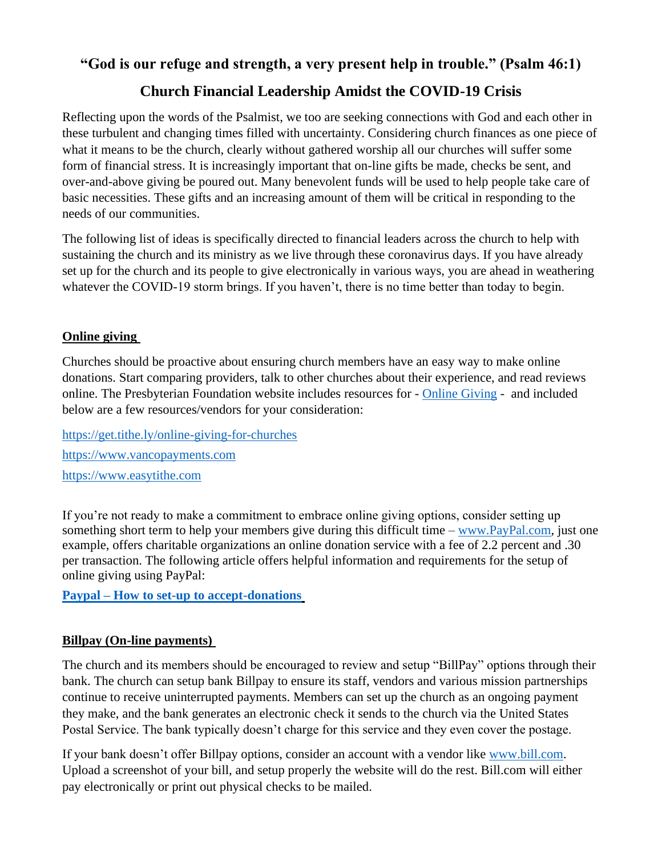# **"God is our refuge and strength, a very present help in trouble." (Psalm 46:1)**

# **Church Financial Leadership Amidst the COVID-19 Crisis**

Reflecting upon the words of the Psalmist, we too are seeking connections with God and each other in these turbulent and changing times filled with uncertainty. Considering church finances as one piece of what it means to be the church, clearly without gathered worship all our churches will suffer some form of financial stress. It is increasingly important that on-line gifts be made, checks be sent, and over-and-above giving be poured out. Many benevolent funds will be used to help people take care of basic necessities. These gifts and an increasing amount of them will be critical in responding to the needs of our communities.

The following list of ideas is specifically directed to financial leaders across the church to help with sustaining the church and its ministry as we live through these coronavirus days. If you have already set up for the church and its people to give electronically in various ways, you are ahead in weathering whatever the COVID-19 storm brings. If you haven't, there is no time better than today to begin.

# **Online giving**

Churches should be proactive about ensuring church members have an easy way to make online donations. Start comparing providers, talk to other churches about their experience, and read reviews online. The Presbyterian Foundation website includes resources for - [Online Giving](https://www.presbyterianfoundation.org/onlinegiving/) - and included below are a few resources/vendors for your consideration:

<https://get.tithe.ly/online-giving-for-churches> [https://www.vancopayments.com](https://www.vancopayments.com/) [https://www.easytithe.com](https://www.easytithe.com/)

If you're not ready to make a commitment to embrace online giving options, consider setting up something short term to help your members give during this difficult time – [www.PayPal.com,](http://www.paypal.com/) just one example, offers charitable organizations an online donation service with a fee of 2.2 percent and .30 per transaction. The following article offers helpful information and requirements for the setup of online giving using PayPal:

**Paypal – [How to set-up to accept-donations](https://www.paypal.com/us/smarthelp/article/how-can-i-get-my-nonprofit-set-up-with-paypal-to-accept-donations-faq1068)**

# **Billpay (On-line payments)**

The church and its members should be encouraged to review and setup "BillPay" options through their bank. The church can setup bank Billpay to ensure its staff, vendors and various mission partnerships continue to receive uninterrupted payments. Members can set up the church as an ongoing payment they make, and the bank generates an electronic check it sends to the church via the United States Postal Service. The bank typically doesn't charge for this service and they even cover the postage.

If your bank doesn't offer Billpay options, consider an account with a vendor like [www.bill.com.](http://www.bill.com/) Upload a screenshot of your bill, and setup properly the website will do the rest. Bill.com will either pay electronically or print out physical checks to be mailed.